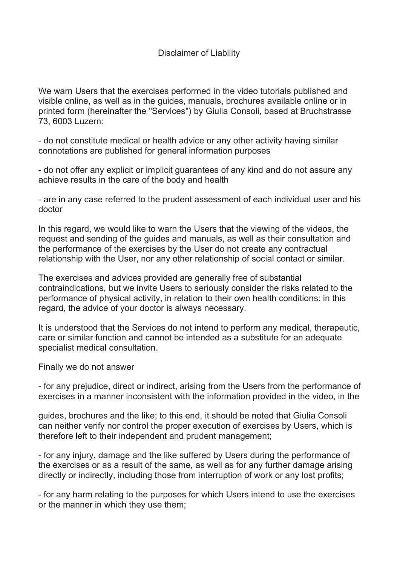We warn Users that the exercises performed in the video tutorials published and visible online, as well as in the guides, manuals, brochures available online or in printed form (hereinafter the "Services") by Giulia Consoli, based at Bruchstrasse 73, 6003 Luzern:

- do not constitute medical or health advice or any other activity having similar connotations are published for general information purposes

- do not offer any explicit or implicit guarantees of any kind and do not assure any achieve results in the care of the body and health

- are in any case referred to the prudent assessment of each individual user and his doctor

In this regard, we would like to warn the Users that the viewing of the videos, the request and sending of the guides and manuals, as well as their consultation and the performance of the exercises by the User do not create any contractual relationship with the User, nor any other relationship of social contact or similar.

The exercises and advices provided are generally free of substantial contraindications, but we invite Users to seriously consider the risks related to the performance of physical activity, in relation to their own health conditions: in this regard, the advice of your doctor is always necessary.

It is understood that the Services do not intend to perform any medical, therapeutic, care or similar function and cannot be intended as a substitute for an adequate specialist medical consultation.

Finally we do not answer

- for any prejudice, direct or indirect, arising from the Users from the performance of exercises in a manner inconsistent with the information provided in the video, in the

guides, brochures and the like; to this end, it should be noted that Giulia Consoli can neither verify nor control the proper execution of exercises by Users, which is therefore left to their independent and prudent management;

- for any injury, damage and the like suffered by Users during the performance of the exercises or as a result of the same, as well as for any further damage arising directly or indirectly, including those from interruption of work or any lost profits;

- for any harm relating to the purposes for which Users intend to use the exercises or the manner in which they use them;